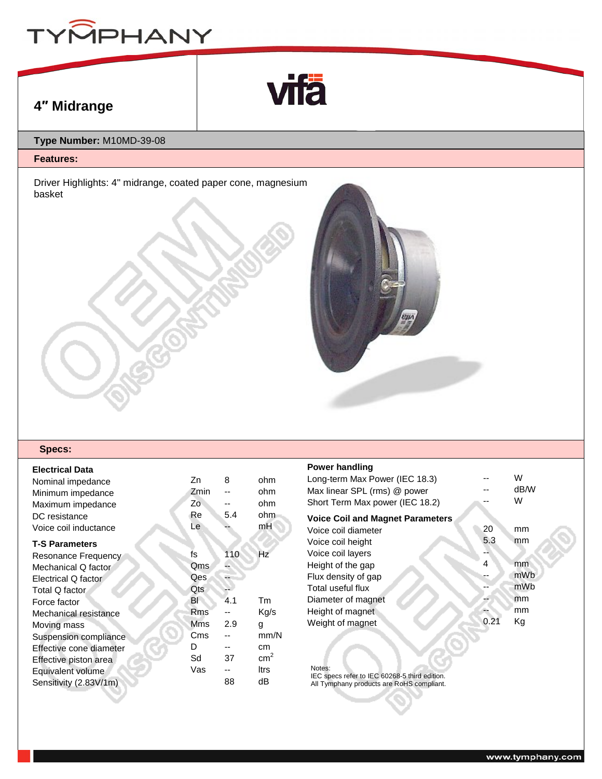



# **4″ Midrange**

## **Type Number:** M10MD-39-08

### **Features:**

Driver Highlights: 4" midrange, coated paper cone, magnesium basket



#### **Specs:**

| <b>Electrical Data</b><br>Nominal impedance<br>Minimum impedance<br>Maximum impedance<br>DC resistance<br>Voice coil inductance | Zn<br>Zmin<br>Zo<br>Re<br>Le | 8<br>5.4 | ohm<br>ohm<br>ohm<br>ohm<br>mH |
|---------------------------------------------------------------------------------------------------------------------------------|------------------------------|----------|--------------------------------|
| <b>T-S Parameters</b>                                                                                                           |                              |          |                                |
| Resonance Frequency                                                                                                             | fs                           | 110      | Hz                             |
| Mechanical Q factor                                                                                                             | Qms                          |          |                                |
| Electrical Q factor                                                                                                             | Qes                          |          |                                |
| Total Q factor                                                                                                                  | Qts                          |          |                                |
| Force factor                                                                                                                    | ΒI                           | 4.1      | Tm                             |
| Mechanical resistance                                                                                                           | <b>Rms</b>                   |          | Kg/s                           |
| Moving mass                                                                                                                     | <b>Mms</b>                   | 2.9      | g                              |
| Suspension compliance                                                                                                           | Cms                          |          | mm/N                           |
| Effective cone diameter                                                                                                         | D                            |          | cm                             |
| Effective piston area                                                                                                           | Sd                           | 37       | cm <sup>2</sup>                |
| Equivalent volume                                                                                                               | Vas                          |          | ltrs                           |
| Sensitivity (2.83V/1m)                                                                                                          |                              | 88       | dB                             |
|                                                                                                                                 |                              |          |                                |

#### **Power handling**

| <b>FUWEI HAHUIHIY</b>                   |      |      |
|-----------------------------------------|------|------|
| Long-term Max Power (IEC 18.3)          |      | W    |
| Max linear SPL (rms) @ power            |      | dB/W |
| Short Term Max power (IEC 18.2)         |      | W    |
| <b>Voice Coil and Magnet Parameters</b> |      |      |
| Voice coil diameter                     | 20   | mm   |
| Voice coil height                       | 5.3  | mm   |
| Voice coil layers                       |      |      |
| Height of the gap                       | 4    | mm   |
| Flux density of gap                     |      | mWb  |
| Total useful flux                       |      | mWb  |
| Diameter of magnet                      |      | mm   |
| Height of magnet                        |      | mm   |
| Weight of magnet                        | 0.21 | Κg   |
|                                         |      |      |

Notes: IEC specs refer to IEC 60268-5 third edition. All Tymphany products are RoHS compliant.